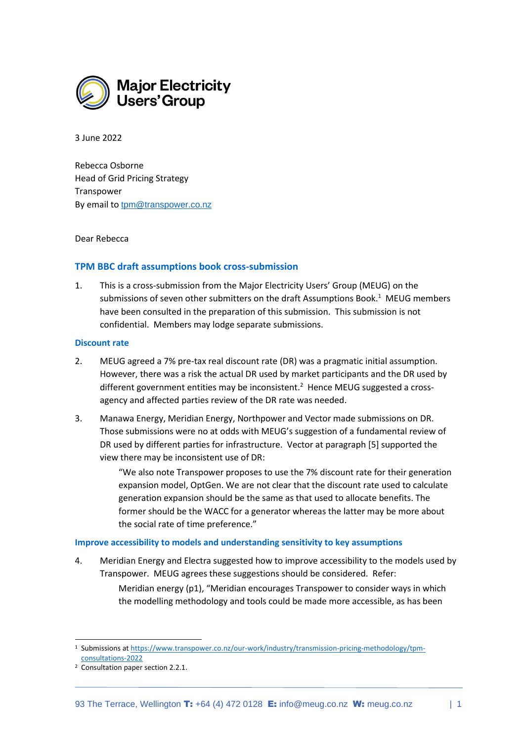

3 June 2022

Rebecca Osborne Head of Grid Pricing Strategy Transpower By email to [tpm@transpower.co.nz](mailto:tpm@transpower.co.nz)

## Dear Rebecca

## **TPM BBC draft assumptions book cross-submission**

1. This is a cross-submission from the Major Electricity Users' Group (MEUG) on the submissions of seven other submitters on the draft Assumptions Book. $^1$  MEUG members have been consulted in the preparation of this submission. This submission is not confidential. Members may lodge separate submissions.

## **Discount rate**

- 2. MEUG agreed a 7% pre-tax real discount rate (DR) was a pragmatic initial assumption. However, there was a risk the actual DR used by market participants and the DR used by different government entities may be inconsistent.<sup>2</sup> Hence MEUG suggested a crossagency and affected parties review of the DR rate was needed.
- 3. Manawa Energy, Meridian Energy, Northpower and Vector made submissions on DR. Those submissions were no at odds with MEUG's suggestion of a fundamental review of DR used by different parties for infrastructure. Vector at paragraph [5] supported the view there may be inconsistent use of DR:

"We also note Transpower proposes to use the 7% discount rate for their generation expansion model, OptGen. We are not clear that the discount rate used to calculate generation expansion should be the same as that used to allocate benefits. The former should be the WACC for a generator whereas the latter may be more about the social rate of time preference."

#### **Improve accessibility to models and understanding sensitivity to key assumptions**

4. Meridian Energy and Electra suggested how to improve accessibility to the models used by Transpower. MEUG agrees these suggestions should be considered. Refer:

> Meridian energy (p1), "Meridian encourages Transpower to consider ways in which the modelling methodology and tools could be made more accessible, as has been

<sup>&</sup>lt;sup>1</sup> Submissions a[t https://www.transpower.co.nz/our-work/industry/transmission-pricing-methodology/tpm](https://www.transpower.co.nz/our-work/industry/transmission-pricing-methodology/tpm-consultations-2022)[consultations-2022](https://www.transpower.co.nz/our-work/industry/transmission-pricing-methodology/tpm-consultations-2022)

<sup>2</sup> Consultation paper section 2.2.1.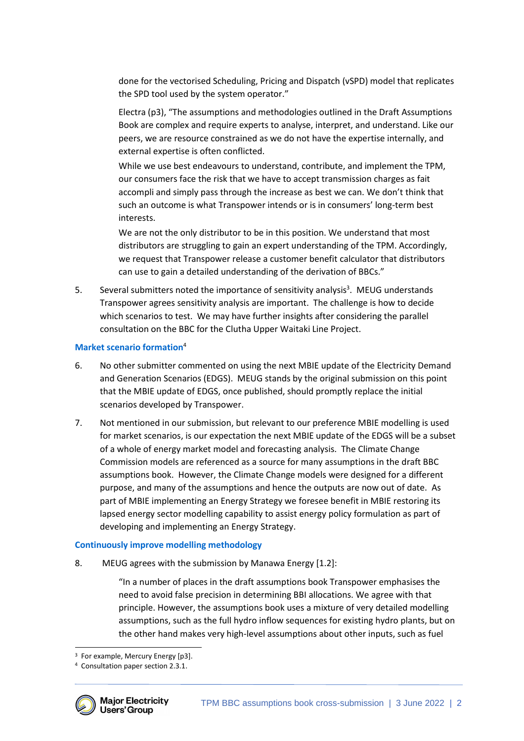done for the vectorised Scheduling, Pricing and Dispatch (vSPD) model that replicates the SPD tool used by the system operator."

Electra (p3), "The assumptions and methodologies outlined in the Draft Assumptions Book are complex and require experts to analyse, interpret, and understand. Like our peers, we are resource constrained as we do not have the expertise internally, and external expertise is often conflicted.

While we use best endeavours to understand, contribute, and implement the TPM, our consumers face the risk that we have to accept transmission charges as fait accompli and simply pass through the increase as best we can. We don't think that such an outcome is what Transpower intends or is in consumers' long-term best interests.

We are not the only distributor to be in this position. We understand that most distributors are struggling to gain an expert understanding of the TPM. Accordingly, we request that Transpower release a customer benefit calculator that distributors can use to gain a detailed understanding of the derivation of BBCs."

5. Several submitters noted the importance of sensitivity analysis<sup>3</sup>. MEUG understands Transpower agrees sensitivity analysis are important. The challenge is how to decide which scenarios to test. We may have further insights after considering the parallel consultation on the BBC for the Clutha Upper Waitaki Line Project.

# **Market scenario formation**<sup>4</sup>

- 6. No other submitter commented on using the next MBIE update of the Electricity Demand and Generation Scenarios (EDGS). MEUG stands by the original submission on this point that the MBIE update of EDGS, once published, should promptly replace the initial scenarios developed by Transpower.
- 7. Not mentioned in our submission, but relevant to our preference MBIE modelling is used for market scenarios, is our expectation the next MBIE update of the EDGS will be a subset of a whole of energy market model and forecasting analysis. The Climate Change Commission models are referenced as a source for many assumptions in the draft BBC assumptions book. However, the Climate Change models were designed for a different purpose, and many of the assumptions and hence the outputs are now out of date. As part of MBIE implementing an Energy Strategy we foresee benefit in MBIE restoring its lapsed energy sector modelling capability to assist energy policy formulation as part of developing and implementing an Energy Strategy.

# **Continuously improve modelling methodology**

8. MEUG agrees with the submission by Manawa Energy [1.2]:

"In a number of places in the draft assumptions book Transpower emphasises the need to avoid false precision in determining BBI allocations. We agree with that principle. However, the assumptions book uses a mixture of very detailed modelling assumptions, such as the full hydro inflow sequences for existing hydro plants, but on the other hand makes very high-level assumptions about other inputs, such as fuel

<sup>4</sup> Consultation paper section 2.3.1.



<sup>3</sup> For example, Mercury Energy [p3].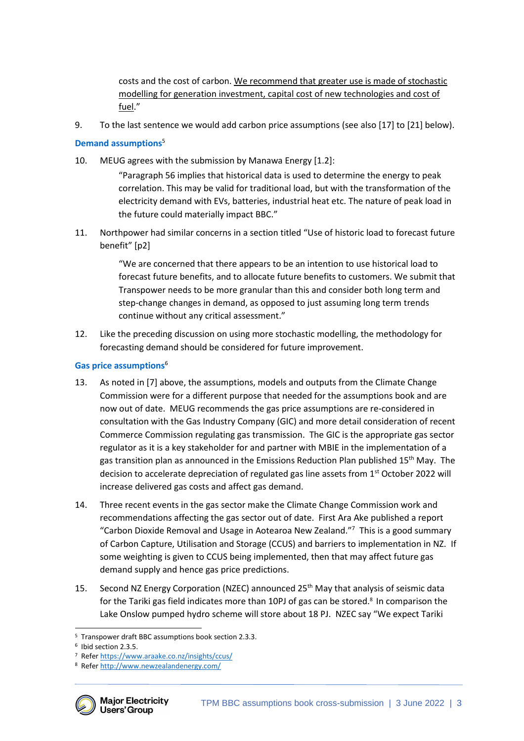costs and the cost of carbon. We recommend that greater use is made of stochastic modelling for generation investment, capital cost of new technologies and cost of fuel."

9. To the last sentence we would add carbon price assumptions (see also [17] to [21] below).

# **Demand assumptions**<sup>5</sup>

10. MEUG agrees with the submission by Manawa Energy [1.2]:

"Paragraph 56 implies that historical data is used to determine the energy to peak correlation. This may be valid for traditional load, but with the transformation of the electricity demand with EVs, batteries, industrial heat etc. The nature of peak load in the future could materially impact BBC."

11. Northpower had similar concerns in a section titled "Use of historic load to forecast future benefit" [p2]

> "We are concerned that there appears to be an intention to use historical load to forecast future benefits, and to allocate future benefits to customers. We submit that Transpower needs to be more granular than this and consider both long term and step-change changes in demand, as opposed to just assuming long term trends continue without any critical assessment."

12. Like the preceding discussion on using more stochastic modelling, the methodology for forecasting demand should be considered for future improvement.

# **Gas price assumptions**<sup>6</sup>

- 13. As noted in [7] above, the assumptions, models and outputs from the Climate Change Commission were for a different purpose that needed for the assumptions book and are now out of date. MEUG recommends the gas price assumptions are re-considered in consultation with the Gas Industry Company (GIC) and more detail consideration of recent Commerce Commission regulating gas transmission. The GIC is the appropriate gas sector regulator as it is a key stakeholder for and partner with MBIE in the implementation of a gas transition plan as announced in the Emissions Reduction Plan published 15<sup>th</sup> May. The decision to accelerate depreciation of regulated gas line assets from 1<sup>st</sup> October 2022 will increase delivered gas costs and affect gas demand.
- 14. Three recent events in the gas sector make the Climate Change Commission work and recommendations affecting the gas sector out of date. First Ara Ake published a report "Carbon Dioxide Removal and Usage in Aotearoa New Zealand."<sup>7</sup> This is a good summary of Carbon Capture, Utilisation and Storage (CCUS) and barriers to implementation in NZ. If some weighting is given to CCUS being implemented, then that may affect future gas demand supply and hence gas price predictions.
- 15. Second NZ Energy Corporation (NZEC) announced 25<sup>th</sup> May that analysis of seismic data for the Tariki gas field indicates more than 10PJ of gas can be stored.<sup>8</sup> In comparison the Lake Onslow pumped hydro scheme will store about 18 PJ. NZEC say "We expect Tariki

<sup>8</sup> Refer<http://www.newzealandenergy.com/>



<sup>5</sup> Transpower draft BBC assumptions book section 2.3.3.

<sup>6</sup> Ibid section 2.3.5.

<sup>7</sup> Refer<https://www.araake.co.nz/insights/ccus/>